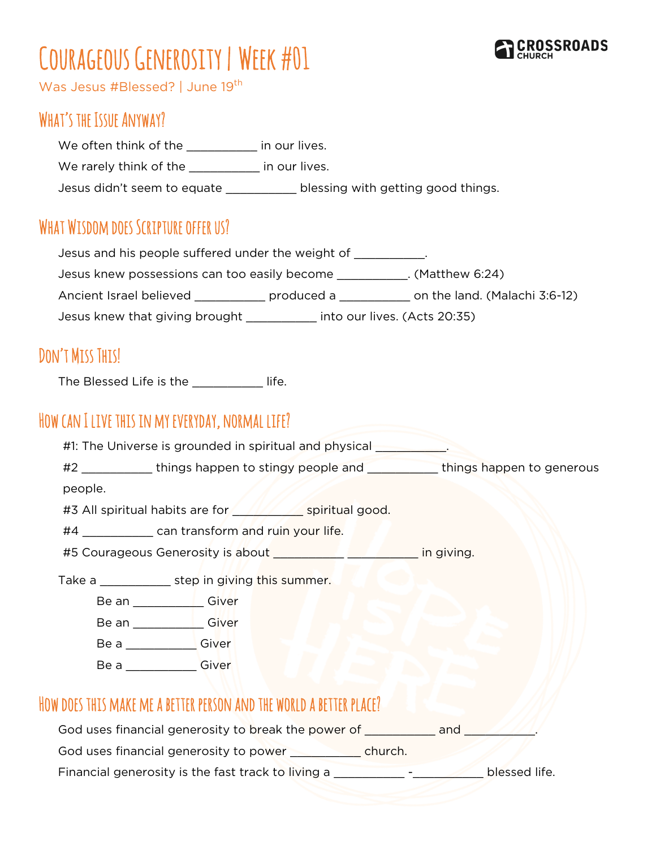# COURAGEOUS GENEROSITY | WEEK #01



Was Jesus #Blessed? | June 19<sup>th</sup>

### WHAT'S THE ISSUE ANYWAY?

We often think of the \_\_\_\_\_\_\_\_\_ in our lives.

We rarely think of the **with the limit of the limit our lives**.

Jesus didn't seem to equate \_\_\_\_\_\_\_\_\_\_\_\_ blessing with getting good things.

## WHAT WISDOM DOES SCRIPTURE OFFER US?

Jesus and his people suffered under the weight of \_\_\_\_\_\_\_\_\_\_.

Jesus knew possessions can too easily become \_\_\_\_\_\_\_\_\_\_. (Matthew 6:24)

Ancient Israel believed \_\_\_\_\_\_\_\_\_\_\_\_ produced a \_\_\_\_\_\_\_\_\_\_\_ on the land. (Malachi 3:6-12)

Jesus knew that giving brought \_\_\_\_\_\_\_\_\_\_ into our lives. (Acts 20:35)

# DON'T MISS THIS!

The Blessed Life is the **The Blessed Life.** 

### How can I live this in my everyday, normal life?

|         | #1: The Universe is grounded in spiritual and physical                 |                                                                                         |
|---------|------------------------------------------------------------------------|-----------------------------------------------------------------------------------------|
|         |                                                                        | #2 _____________things happen to stingy people and ___________things happen to generous |
| people. |                                                                        |                                                                                         |
|         | #3 All spiritual habits are for <b>the set of the spiritual good</b> . |                                                                                         |
|         | #4 _______________ can transform and ruin your life.                   |                                                                                         |
|         |                                                                        |                                                                                         |
|         | Take a step in giving this summer.                                     |                                                                                         |
|         | Be an _______________Giver                                             |                                                                                         |
|         | Be an ______________Giver                                              |                                                                                         |
|         | Be a Giver                                                             |                                                                                         |
|         | Be a Giver                                                             |                                                                                         |
|         |                                                                        |                                                                                         |

#### How does this make me a better person and the world a better place?

God uses financial generosity to break the power of **with an example 20** and we

God uses financial generosity to power \_\_\_\_\_\_\_\_\_\_ church.

Financial generosity is the fast track to living a \_\_\_\_\_\_\_\_\_\_\_\_\_ - \_\_\_\_\_\_\_\_\_ blessed life.